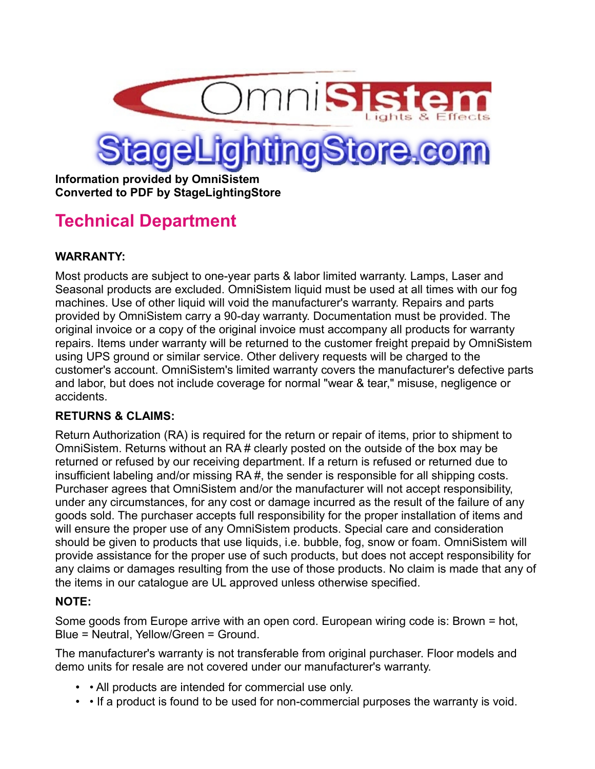

**Information provided by OmniSistem Converted to PDF by StageLightingStore**

# **Technical Department**

## **WARRANTY:**

Most products are subject to one-year parts & labor limited warranty. Lamps, Laser and Seasonal products are excluded. OmniSistem liquid must be used at all times with our fog machines. Use of other liquid will void the manufacturer's warranty. Repairs and parts provided by OmniSistem carry a 90-day warranty. Documentation must be provided. The original invoice or a copy of the original invoice must accompany all products for warranty repairs. Items under warranty will be returned to the customer freight prepaid by OmniSistem using UPS ground or similar service. Other delivery requests will be charged to the customer's account. OmniSistem's limited warranty covers the manufacturer's defective parts and labor, but does not include coverage for normal "wear & tear," misuse, negligence or accidents.

## **RETURNS & CLAIMS:**

Return Authorization (RA) is required for the return or repair of items, prior to shipment to OmniSistem. Returns without an RA # clearly posted on the outside of the box may be returned or refused by our receiving department. If a return is refused or returned due to insufficient labeling and/or missing RA #, the sender is responsible for all shipping costs. Purchaser agrees that OmniSistem and/or the manufacturer will not accept responsibility, under any circumstances, for any cost or damage incurred as the result of the failure of any goods sold. The purchaser accepts full responsibility for the proper installation of items and will ensure the proper use of any OmniSistem products. Special care and consideration should be given to products that use liquids, i.e. bubble, fog, snow or foam. OmniSistem will provide assistance for the proper use of such products, but does not accept responsibility for any claims or damages resulting from the use of those products. No claim is made that any of the items in our catalogue are UL approved unless otherwise specified.

#### **NOTE:**

Some goods from Europe arrive with an open cord. European wiring code is: Brown = hot, Blue = Neutral, Yellow/Green = Ground.

The manufacturer's warranty is not transferable from original purchaser. Floor models and demo units for resale are not covered under our manufacturer's warranty.

- • All products are intended for commercial use only.
- • If a product is found to be used for non-commercial purposes the warranty is void.